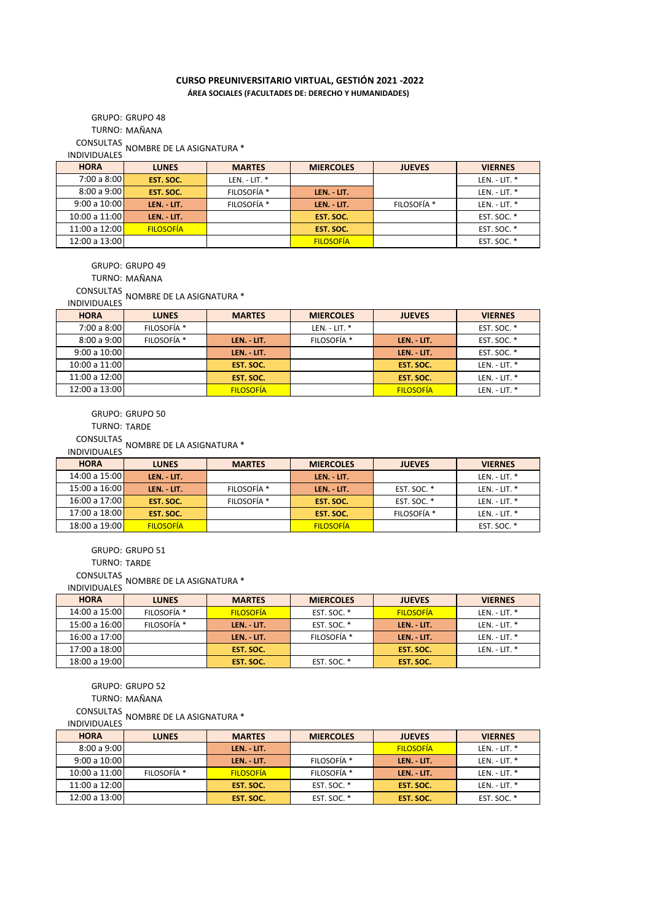## **CURSO PREUNIVERSITARIO VIRTUAL, GESTIÓN 2021 -2022 ÁREA SOCIALES (FACULTADES DE: DERECHO Y HUMANIDADES)**

TURNO: MAÑANA GRUPO: GRUPO 48

CONSULTAS INDIVIDUALES NOMBRE DE LA ASIGNATURA \*

| <b>HORA</b>   | <b>LUNES</b>     | <b>MARTES</b>   | <b>MIERCOLES</b> | <b>JUEVES</b> | <b>VIERNES</b>  |
|---------------|------------------|-----------------|------------------|---------------|-----------------|
| 7:00 a 8:00   | EST. SOC.        | $LEN. - LIT.$ * |                  |               | LEN. - LIT. $*$ |
| 8:00a9:00     | EST. SOC.        | FILOSOFÍA *     | LEN. - LIT.      |               | LEN. - LIT. $*$ |
| 9:00 a 10:00  | LEN. - LIT.      | FILOSOFÍA *     | LEN. - LIT.      | FILOSOFÍA *   | LEN. - LIT. $*$ |
| 10:00 a 11:00 | LEN. - LIT.      |                 | EST. SOC.        |               | EST. SOC. *     |
| 11:00 a 12:00 | <b>FILOSOFÍA</b> |                 | EST. SOC.        |               | EST. SOC. *     |
| 12:00 a 13:00 |                  |                 | <b>FILOSOFÍA</b> |               | EST. SOC. *     |

GRUPO: GRUPO 49

TURNO: MAÑANA

CONSULTAS INDIVIDUALES NOMBRE DE LA ASIGNATURA \*

| <b>INDIVIDUALES</b> |  |
|---------------------|--|
| <b>LIODA</b>        |  |

| <b>HORA</b>   | <b>LUNES</b>           | <b>MARTES</b>    | <b>MIERCOLES</b> | <b>JUEVES</b>    | <b>VIERNES</b>  |
|---------------|------------------------|------------------|------------------|------------------|-----------------|
| 7:00 a 8:00   | FILOSOFÍA <sup>*</sup> |                  | $LEN. - LIT.$    |                  | EST. SOC. *     |
| 8:00a9:00     | FILOSOFÍA *            | LEN. - LIT.      | FILOSOFÍA *      | LEN. - LIT.      | EST. SOC. *     |
| 9:00a10:00    |                        | LEN. - LIT.      |                  | LEN. - LIT.      | EST. SOC. *     |
| 10:00 a 11:00 |                        | EST. SOC.        |                  | EST. SOC.        | LEN. - LIT. *   |
| 11:00 a 12:00 |                        | EST. SOC.        |                  | EST. SOC.        | LEN. - LIT. $*$ |
| 12:00 a 13:00 |                        | <b>FILOSOFÍA</b> |                  | <b>FILOSOFÍA</b> | $LEN. - LIT.$   |

GRUPO: GRUPO 50

TURNO: TARDE

CONSULTAS INDIVIDUALES NOMBRE DE LA ASIGNATURA \*

| <b>HORA</b>   | <b>LUNES</b>     | <b>MARTES</b> | <b>MIERCOLES</b> | <b>JUEVES</b>      | <b>VIERNES</b>  |
|---------------|------------------|---------------|------------------|--------------------|-----------------|
| 14:00 a 15:00 | LEN. - LIT.      |               | LEN. - LIT.      |                    | LEN. - LIT. $*$ |
| 15:00a16:00   | LEN. - LIT.      | FILOSOFÍA *   | LEN. - LIT.      | <b>EST. SOC. *</b> | LEN. - LIT. $*$ |
| 16:00 a 17:00 | EST. SOC.        | FILOSOFÍA *   | EST. SOC.        | <b>EST. SOC. *</b> | LEN. - LIT. $*$ |
| 17:00 a 18:00 | EST. SOC.        |               | EST. SOC.        | FILOSOFÍA *        | LEN. - LIT. $*$ |
| 18:00 a 19:00 | <b>FILOSOFÍA</b> |               | <b>FILOSOFIA</b> |                    | EST. SOC. *     |

GRUPO: GRUPO 51

TURNO: TARDE

CONSULTAS INDIVIDUALES NOMBRE DE LA ASIGNATURA \*

| <b>HORA</b>   | <b>LUNES</b> | <b>MARTES</b>    | <b>MIERCOLES</b>       | <b>JUEVES</b>    | <b>VIERNES</b>  |
|---------------|--------------|------------------|------------------------|------------------|-----------------|
| 14:00 a 15:00 | FILOSOFÍA *  | <b>FILOSOFÍA</b> | EST. SOC. *            | <b>FILOSOFÍA</b> | LEN. - LIT. $*$ |
| 15:00 a 16:00 | FILOSOFÍA *  | LEN. LIT.        | EST. SOC. *            | LEN. LIT.        | LEN. - LIT. $*$ |
| 16:00 a 17:00 |              | LEN. LIT.        | FILOSOFÍA <sup>*</sup> | LEN. - LIT.      | LEN. - LIT. $*$ |
| 17:00 a 18:00 |              | EST. SOC.        |                        | EST. SOC.        | LEN. - LIT. $*$ |
| 18:00 a 19:00 |              | EST. SOC.        | EST. SOC. *            | EST. SOC.        |                 |

GRUPO: GRUPO 52

TURNO: MAÑANA

CONSULTAS INDIVIDUALES NOMBRE DE LA ASIGNATURA \*

| <b>HORA</b>   | <b>LUNES</b> | <b>MARTES</b>    | <b>MIERCOLES</b> | <b>JUEVES</b>    | <b>VIERNES</b>  |
|---------------|--------------|------------------|------------------|------------------|-----------------|
| 8:00a9:00     |              | LEN. - LIT.      |                  | <b>FILOSOFIA</b> | LEN. - LIT. $*$ |
| 9:00a10:00    |              | LEN. LIT.        | FILOSOFÍA *      | LEN. - LIT.      | LEN. - LIT. $*$ |
| 10:00 a 11:00 | FILOSOFÍA *  | <b>FILOSOFIA</b> | FILOSOFÍA *      | LEN. - LIT.      | LEN. - LIT. $*$ |
| 11:00 a 12:00 |              | EST. SOC.        | EST. SOC. *      | EST. SOC.        | LEN. - LIT. $*$ |
| 12:00 a 13:00 |              | EST. SOC.        | EST. SOC. *      | EST. SOC.        | EST. SOC. *     |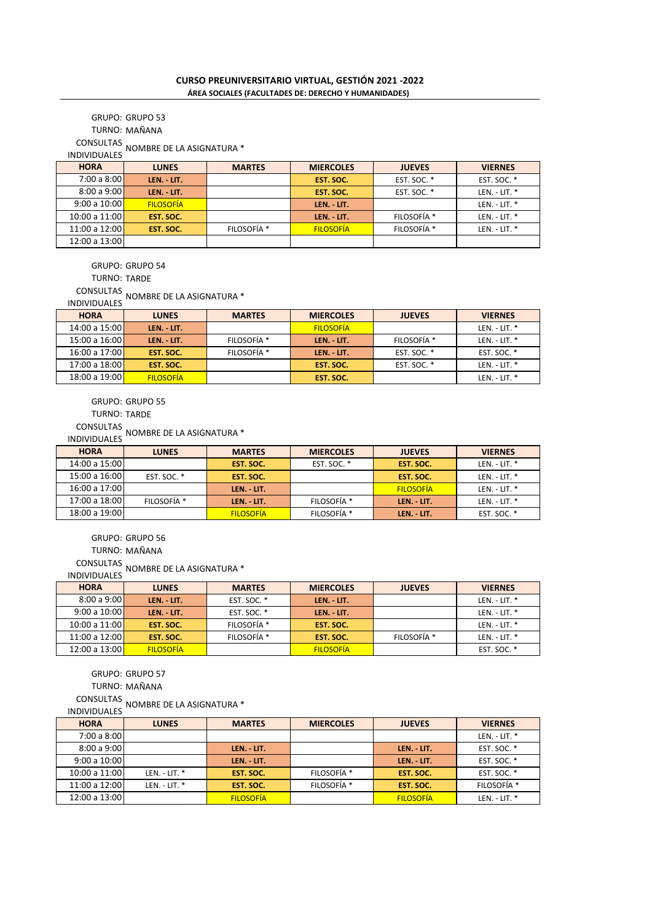## TURNO: MAÑANA GRUPO: GRUPO 53

CONSULTAS

INDIVIDUALES NOMBRE DE LA ASIGNATURA \*

| <b>HORA</b>     | <b>LUNES</b>     | <b>MARTES</b> | <b>MIERCOLES</b> | <b>JUEVES</b>          | <b>VIERNES</b>  |
|-----------------|------------------|---------------|------------------|------------------------|-----------------|
| 7:00 a 8:00     | LEN. - LIT.      |               | EST. SOC.        | EST. SOC. *            | EST. SOC. *     |
| 8:00a9:00       | LEN. - LIT.      |               | EST. SOC.        | EST. SOC. *            | LEN. - LIT. $*$ |
| 9:00 a $10:00$  | <b>FILOSOFÍA</b> |               | LEN. - LIT.      |                        | LEN. - LIT. $*$ |
| 10:00 a $11:00$ | EST. SOC.        |               | LEN. - LIT.      | FILOSOFÍA *            | LEN. - LIT. $*$ |
| 11:00 a 12:00   | EST. SOC.        | FILOSOFÍA *   | <b>FILOSOFÍA</b> | FILOSOFÍA <sup>*</sup> | LEN. - LIT. $*$ |
| 12:00 a 13:00   |                  |               |                  |                        |                 |

GRUPO: GRUPO 54

TURNO: TARDE

CONSULTAS INDIVIDUALES NOMBRE DE LA ASIGNATURA \*

| <b>INDIVIDUALES</b> | . |
|---------------------|---|
|                     |   |

| <b>HORA</b>     | <b>LUNES</b>     | <b>MARTES</b>          | <b>MIERCOLES</b> | <b>JUEVES</b> | <b>VIERNES</b>  |
|-----------------|------------------|------------------------|------------------|---------------|-----------------|
| 14:00 a 15:00   | LEN. - LIT.      |                        | <b>FILOSOFÍA</b> |               | LEN. - LIT. *   |
| 15:00a16:00     | LEN. - LIT.      | FILOSOFÍA *            | LEN. - LIT.      | FILOSOFÍA *   | LEN. - LIT. $*$ |
| 16:00 a 17:00   | EST. SOC.        | FILOSOFÍA <sup>*</sup> | LEN. LIT.        | EST. SOC. *   | EST. SOC. *     |
| 17:00 a $18:00$ | EST. SOC.        |                        | EST. SOC.        | EST. SOC. *   | LEN. - LIT. $*$ |
| 18:00 a 19:00   | <b>FILOSOFÍA</b> |                        | EST. SOC.        |               | LEN. - LIT. *   |

GRUPO: GRUPO 55

TURNO: TARDE

CONSULTAS INDIVIDUALES NOMBRE DE LA ASIGNATURA \*

| <b>HORA</b>   | <b>LUNES</b> | <b>MARTES</b>    | <b>MIERCOLES</b> | <b>JUEVES</b>    | <b>VIERNES</b> |
|---------------|--------------|------------------|------------------|------------------|----------------|
| 14:00 a 15:00 |              | EST. SOC.        | EST. SOC. *      | EST. SOC.        | $LEN. - LIT.$  |
| 15:00 a 16:00 | EST. SOC. *  | EST. SOC.        |                  | EST. SOC.        | $LEN. - LIT.$  |
| 16:00 a 17:00 |              | LEN. LIT.        |                  | <b>FILOSOFIA</b> | $LEN. - LIT.$  |
| 17:00 a 18:00 | FILOSOFÍA *  | LEN. LIT.        | FILOSOFÍA *      | LEN. - LIT.      | $LEN. - LIT.$  |
| 18:00 a 19:00 |              | <b>FILOSOFIA</b> | FILOSOFÍA *      | LEN. - LIT.      | EST. SOC. *    |

GRUPO: GRUPO 56

TURNO: MAÑANA

CONSULTAS INDIVIDUALES NOMBRE DE LA ASIGNATURA \*

| <b>HORA</b>     | <b>LUNES</b>     | <b>MARTES</b>          | <b>MIERCOLES</b> | <b>JUEVES</b> | <b>VIERNES</b>  |
|-----------------|------------------|------------------------|------------------|---------------|-----------------|
| 8:00a9:00       | LEN. - LIT.      | EST. SOC. *            | LEN. - LIT.      |               | LEN. - LIT. $*$ |
| 9:00a10:00      | LEN. - LIT.      | EST. SOC. *            | LEN. - LIT.      |               | LEN. - LIT. *   |
| 10:00 a $11:00$ | EST. SOC.        | FILOSOFÍA <sup>*</sup> | EST. SOC.        |               | LEN. - LIT. $*$ |
| 11:00 a 12:00   | EST. SOC.        | FILOSOFÍA <sup>*</sup> | EST. SOC.        | FILOSOFÍA *   | LEN. - LIT. $*$ |
| 12:00 a 13:00   | <b>FILOSOFÍA</b> |                        | <b>FILOSOFÍA</b> |               | EST. SOC. *     |

GRUPO: GRUPO 57

TURNO: MAÑANA

CONSULTAS<br>DIVIDUALES NOMBRE DE LA ASIGNATURA \*

**LUNES MARTES MIERCOLES JUEVES VIERNES** LEN. - LIT. \* **LEN. - LIT. LEN. - LIT.** EST. SOC. \* **LEN. - LIT. LEN. - LIT. LEN. - LIT.** EST. SOC. \*<br> **LEN. - LIT.** EST. SOC. \* **EST. SOC.** \* **EST. SOC.** \* LEN. - LIT. \* **EST. SOC.** FILOSOFÍA \* LEN. - LIT. \* **EST. SOC.** FILOSOFÍA \* **EST. SOC.** FILOSOFÍA \* FILOSOFÍA FILOSOFÍA LEN. - LIT. \* 9:00 a 10:00 10:00 a 11:00 11:00 a 12:00 12:00 a 13:00 INDIVIDUALES **HORA** 8:00 a 9:00 7:00 a 8:00